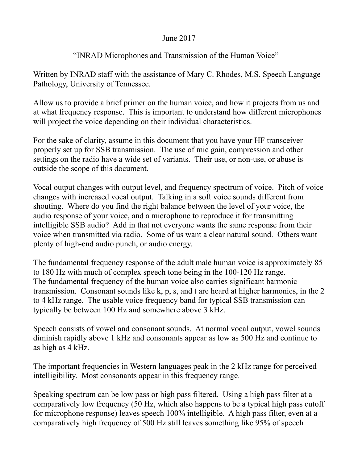### June 2017

# "INRAD Microphones and Transmission of the Human Voice"

Written by INRAD staff with the assistance of Mary C. Rhodes, M.S. Speech Language Pathology, University of Tennessee.

Allow us to provide a brief primer on the human voice, and how it projects from us and at what frequency response. This is important to understand how different microphones will project the voice depending on their individual characteristics.

For the sake of clarity, assume in this document that you have your HF transceiver properly set up for SSB transmission. The use of mic gain, compression and other settings on the radio have a wide set of variants. Their use, or non-use, or abuse is outside the scope of this document.

Vocal output changes with output level, and frequency spectrum of voice. Pitch of voice changes with increased vocal output. Talking in a soft voice sounds different from shouting. Where do you find the right balance between the level of your voice, the audio response of your voice, and a microphone to reproduce it for transmitting intelligible SSB audio? Add in that not everyone wants the same response from their voice when transmitted via radio. Some of us want a clear natural sound. Others want plenty of high-end audio punch, or audio energy.

The fundamental frequency response of the adult male human voice is approximately 85 to 180 Hz with much of complex speech tone being in the 100-120 Hz range. The fundamental frequency of the human voice also carries significant harmonic transmission. Consonant sounds like k, p, s, and t are heard at higher harmonics, in the 2 to 4 kHz range. The usable voice frequency band for typical SSB transmission can typically be between 100 Hz and somewhere above 3 kHz.

Speech consists of vowel and consonant sounds. At normal vocal output, vowel sounds diminish rapidly above 1 kHz and consonants appear as low as 500 Hz and continue to as high as 4 kHz.

The important frequencies in Western languages peak in the 2 kHz range for perceived intelligibility. Most consonants appear in this frequency range.

Speaking spectrum can be low pass or high pass filtered. Using a high pass filter at a comparatively low frequency (50 Hz, which also happens to be a typical high pass cutoff for microphone response) leaves speech 100% intelligible. A high pass filter, even at a comparatively high frequency of 500 Hz still leaves something like 95% of speech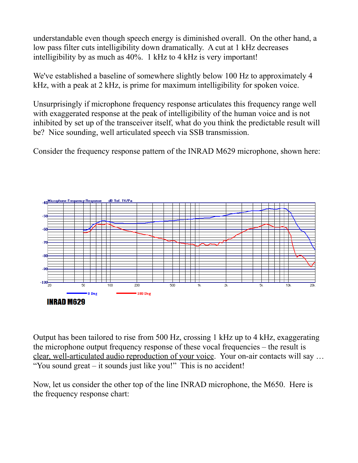understandable even though speech energy is diminished overall. On the other hand, a low pass filter cuts intelligibility down dramatically. A cut at 1 kHz decreases intelligibility by as much as 40%. 1 kHz to 4 kHz is very important!

We've established a baseline of somewhere slightly below 100 Hz to approximately 4 kHz, with a peak at 2 kHz, is prime for maximum intelligibility for spoken voice.

Unsurprisingly if microphone frequency response articulates this frequency range well with exaggerated response at the peak of intelligibility of the human voice and is not inhibited by set up of the transceiver itself, what do you think the predictable result will be? Nice sounding, well articulated speech via SSB transmission.

Consider the frequency response pattern of the INRAD M629 microphone, shown here:



Output has been tailored to rise from 500 Hz, crossing 1 kHz up to 4 kHz, exaggerating the microphone output frequency response of these vocal frequencies – the result is clear, well-articulated audio reproduction of your voice. Your on-air contacts will say … "You sound great – it sounds just like you!" This is no accident!

Now, let us consider the other top of the line INRAD microphone, the M650. Here is the frequency response chart: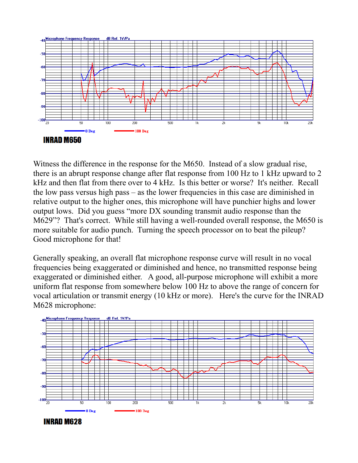

Witness the difference in the response for the M650. Instead of a slow gradual rise, there is an abrupt response change after flat response from 100 Hz to 1 kHz upward to 2 kHz and then flat from there over to 4 kHz. Is this better or worse? It's neither. Recall the low pass versus high pass – as the lower frequencies in this case are diminished in relative output to the higher ones, this microphone will have punchier highs and lower output lows. Did you guess "more DX sounding transmit audio response than the M629"? That's correct. While still having a well-rounded overall response, the M650 is more suitable for audio punch. Turning the speech processor on to beat the pileup? Good microphone for that!

Generally speaking, an overall flat microphone response curve will result in no vocal frequencies being exaggerated or diminished and hence, no transmitted response being exaggerated or diminished either. A good, all-purpose microphone will exhibit a more uniform flat response from somewhere below 100 Hz to above the range of concern for vocal articulation or transmit energy (10 kHz or more). Here's the curve for the INRAD M628 microphone:



**INRAD M628**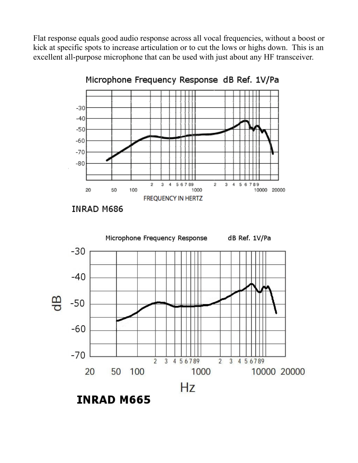Flat response equals good audio response across all vocal frequencies, without a boost or kick at specific spots to increase articulation or to cut the lows or highs down. This is an excellent all-purpose microphone that can be used with just about any HF transceiver.



Microphone Frequency Response dB Ref. 1V/Pa

**INRAD M686** 



**INRAD M665**